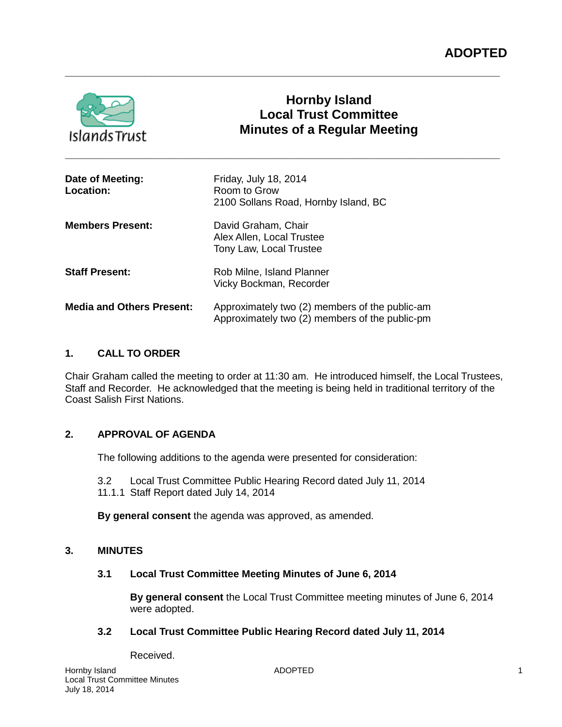

# **Hornby Island Local Trust Committee Minutes of a Regular Meeting**

| Date of Meeting:<br><b>Location:</b> | Friday, July 18, 2014<br>Room to Grow<br>2100 Sollans Road, Hornby Island, BC                    |
|--------------------------------------|--------------------------------------------------------------------------------------------------|
| <b>Members Present:</b>              | David Graham, Chair<br>Alex Allen, Local Trustee<br>Tony Law, Local Trustee                      |
| <b>Staff Present:</b>                | Rob Milne, Island Planner<br>Vicky Bockman, Recorder                                             |
| <b>Media and Others Present:</b>     | Approximately two (2) members of the public-am<br>Approximately two (2) members of the public-pm |

**\_\_\_\_\_\_\_\_\_\_\_\_\_\_\_\_\_\_\_\_\_\_\_\_\_\_\_\_\_\_\_\_\_\_\_\_\_\_\_\_\_\_\_\_\_\_\_\_\_\_\_\_\_\_\_\_\_\_\_\_\_\_\_\_\_\_\_\_\_\_\_**

**\_\_\_\_\_\_\_\_\_\_\_\_\_\_\_\_\_\_\_\_\_\_\_\_\_\_\_\_\_\_\_\_\_\_\_\_\_\_\_\_\_\_\_\_\_\_\_\_\_\_\_\_\_\_\_\_\_\_\_\_\_\_\_\_\_\_\_\_\_\_\_**

## **1. CALL TO ORDER**

Chair Graham called the meeting to order at 11:30 am. He introduced himself, the Local Trustees, Staff and Recorder. He acknowledged that the meeting is being held in traditional territory of the Coast Salish First Nations.

## **2. APPROVAL OF AGENDA**

The following additions to the agenda were presented for consideration:

3.2 Local Trust Committee Public Hearing Record dated July 11, 2014 11.1.1 Staff Report dated July 14, 2014

**By general consent** the agenda was approved, as amended.

## **3. MINUTES**

#### **3.1 Local Trust Committee Meeting Minutes of June 6, 2014**

**By general consent** the Local Trust Committee meeting minutes of June 6, 2014 were adopted.

## **3.2 Local Trust Committee Public Hearing Record dated July 11, 2014**

Received.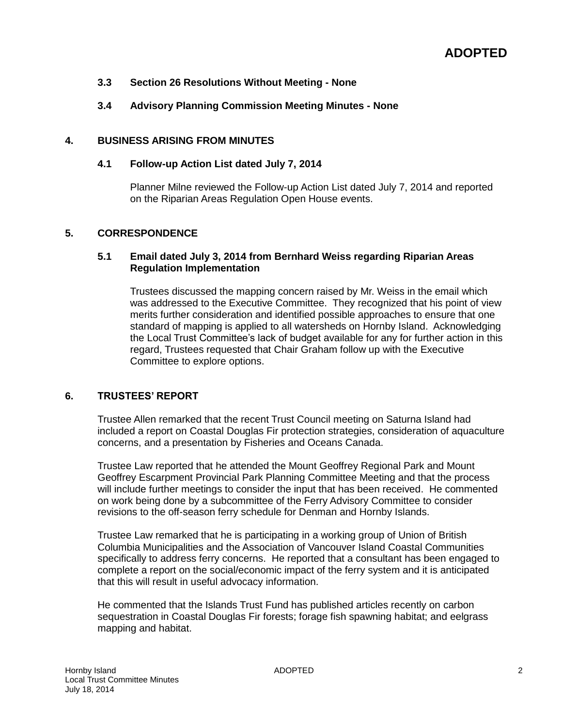#### **3.3 Section 26 Resolutions Without Meeting - None**

## **3.4 Advisory Planning Commission Meeting Minutes - None**

#### **4. BUSINESS ARISING FROM MINUTES**

#### **4.1 Follow-up Action List dated July 7, 2014**

Planner Milne reviewed the Follow-up Action List dated July 7, 2014 and reported on the Riparian Areas Regulation Open House events.

#### **5. CORRESPONDENCE**

#### **5.1 Email dated July 3, 2014 from Bernhard Weiss regarding Riparian Areas Regulation Implementation**

Trustees discussed the mapping concern raised by Mr. Weiss in the email which was addressed to the Executive Committee. They recognized that his point of view merits further consideration and identified possible approaches to ensure that one standard of mapping is applied to all watersheds on Hornby Island. Acknowledging the Local Trust Committee's lack of budget available for any for further action in this regard, Trustees requested that Chair Graham follow up with the Executive Committee to explore options.

## **6. TRUSTEES' REPORT**

Trustee Allen remarked that the recent Trust Council meeting on Saturna Island had included a report on Coastal Douglas Fir protection strategies, consideration of aquaculture concerns, and a presentation by Fisheries and Oceans Canada.

Trustee Law reported that he attended the Mount Geoffrey Regional Park and Mount Geoffrey Escarpment Provincial Park Planning Committee Meeting and that the process will include further meetings to consider the input that has been received. He commented on work being done by a subcommittee of the Ferry Advisory Committee to consider revisions to the off-season ferry schedule for Denman and Hornby Islands.

Trustee Law remarked that he is participating in a working group of Union of British Columbia Municipalities and the Association of Vancouver Island Coastal Communities specifically to address ferry concerns. He reported that a consultant has been engaged to complete a report on the social/economic impact of the ferry system and it is anticipated that this will result in useful advocacy information.

He commented that the Islands Trust Fund has published articles recently on carbon sequestration in Coastal Douglas Fir forests; forage fish spawning habitat; and eelgrass mapping and habitat.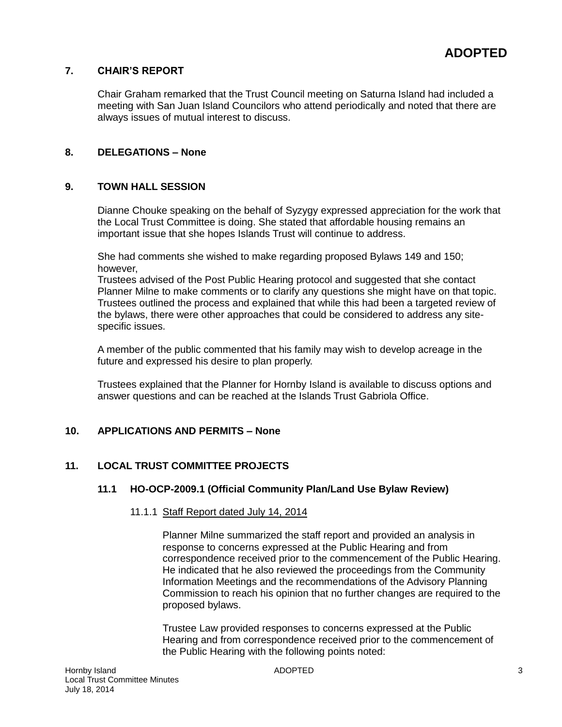## **7. CHAIR'S REPORT**

Chair Graham remarked that the Trust Council meeting on Saturna Island had included a meeting with San Juan Island Councilors who attend periodically and noted that there are always issues of mutual interest to discuss.

## **8. DELEGATIONS – None**

#### **9. TOWN HALL SESSION**

Dianne Chouke speaking on the behalf of Syzygy expressed appreciation for the work that the Local Trust Committee is doing. She stated that affordable housing remains an important issue that she hopes Islands Trust will continue to address.

She had comments she wished to make regarding proposed Bylaws 149 and 150; however,

Trustees advised of the Post Public Hearing protocol and suggested that she contact Planner Milne to make comments or to clarify any questions she might have on that topic. Trustees outlined the process and explained that while this had been a targeted review of the bylaws, there were other approaches that could be considered to address any sitespecific issues.

A member of the public commented that his family may wish to develop acreage in the future and expressed his desire to plan properly.

Trustees explained that the Planner for Hornby Island is available to discuss options and answer questions and can be reached at the Islands Trust Gabriola Office.

## **10. APPLICATIONS AND PERMITS – None**

## **11. LOCAL TRUST COMMITTEE PROJECTS**

#### **11.1 HO-OCP-2009.1 (Official Community Plan/Land Use Bylaw Review)**

#### 11.1.1 Staff Report dated July 14, 2014

Planner Milne summarized the staff report and provided an analysis in response to concerns expressed at the Public Hearing and from correspondence received prior to the commencement of the Public Hearing. He indicated that he also reviewed the proceedings from the Community Information Meetings and the recommendations of the Advisory Planning Commission to reach his opinion that no further changes are required to the proposed bylaws.

Trustee Law provided responses to concerns expressed at the Public Hearing and from correspondence received prior to the commencement of the Public Hearing with the following points noted: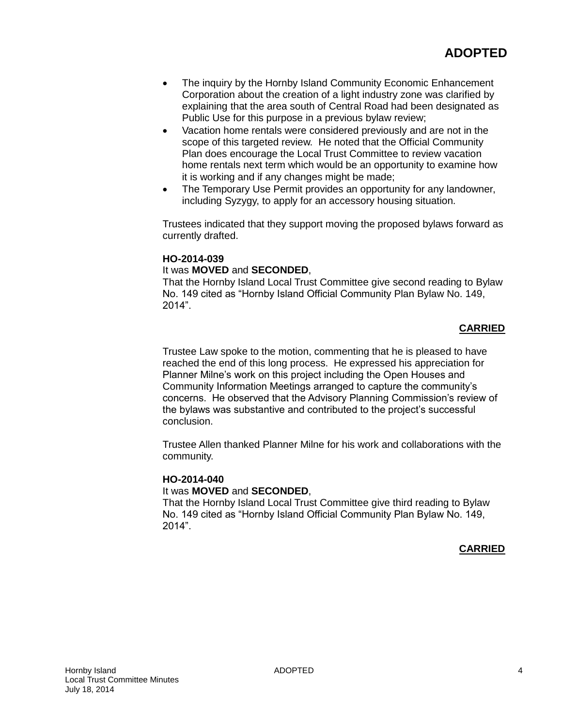- The inquiry by the Hornby Island Community Economic Enhancement Corporation about the creation of a light industry zone was clarified by explaining that the area south of Central Road had been designated as Public Use for this purpose in a previous bylaw review;
- Vacation home rentals were considered previously and are not in the scope of this targeted review. He noted that the Official Community Plan does encourage the Local Trust Committee to review vacation home rentals next term which would be an opportunity to examine how it is working and if any changes might be made;
- The Temporary Use Permit provides an opportunity for any landowner, including Syzygy, to apply for an accessory housing situation.

Trustees indicated that they support moving the proposed bylaws forward as currently drafted.

## **HO-2014-039**

#### It was **MOVED** and **SECONDED**,

That the Hornby Island Local Trust Committee give second reading to Bylaw No. 149 cited as "Hornby Island Official Community Plan Bylaw No. 149, 2014".

## **CARRIED**

Trustee Law spoke to the motion, commenting that he is pleased to have reached the end of this long process. He expressed his appreciation for Planner Milne's work on this project including the Open Houses and Community Information Meetings arranged to capture the community's concerns. He observed that the Advisory Planning Commission's review of the bylaws was substantive and contributed to the project's successful conclusion.

Trustee Allen thanked Planner Milne for his work and collaborations with the community.

#### **HO-2014-040**

#### It was **MOVED** and **SECONDED**,

That the Hornby Island Local Trust Committee give third reading to Bylaw No. 149 cited as "Hornby Island Official Community Plan Bylaw No. 149, 2014".

#### **CARRIED**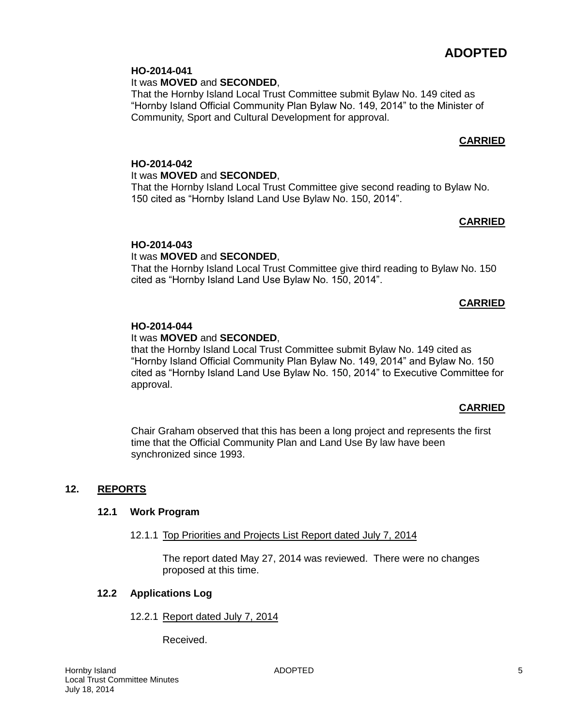# **ADOPTED**

## **HO-2014-041**

It was **MOVED** and **SECONDED**,

That the Hornby Island Local Trust Committee submit Bylaw No. 149 cited as "Hornby Island Official Community Plan Bylaw No. 149, 2014" to the Minister of Community, Sport and Cultural Development for approval.

## **CARRIED**

## **HO-2014-042** It was **MOVED** and **SECONDED**, That the Hornby Island Local Trust Committee give second reading to Bylaw No.

150 cited as "Hornby Island Land Use Bylaw No. 150, 2014".

## **CARRIED**

## **HO-2014-043**

## It was **MOVED** and **SECONDED**,

That the Hornby Island Local Trust Committee give third reading to Bylaw No. 150 cited as "Hornby Island Land Use Bylaw No. 150, 2014".

## **CARRIED**

## **HO-2014-044**

## It was **MOVED** and **SECONDED**,

that the Hornby Island Local Trust Committee submit Bylaw No. 149 cited as "Hornby Island Official Community Plan Bylaw No. 149, 2014" and Bylaw No. 150 cited as "Hornby Island Land Use Bylaw No. 150, 2014" to Executive Committee for approval.

## **CARRIED**

Chair Graham observed that this has been a long project and represents the first time that the Official Community Plan and Land Use By law have been synchronized since 1993.

## **12. REPORTS**

## **12.1 Work Program**

## 12.1.1 Top Priorities and Projects List Report dated July 7, 2014

The report dated May 27, 2014 was reviewed. There were no changes proposed at this time.

## **12.2 Applications Log**

12.2.1 Report dated July 7, 2014

Received.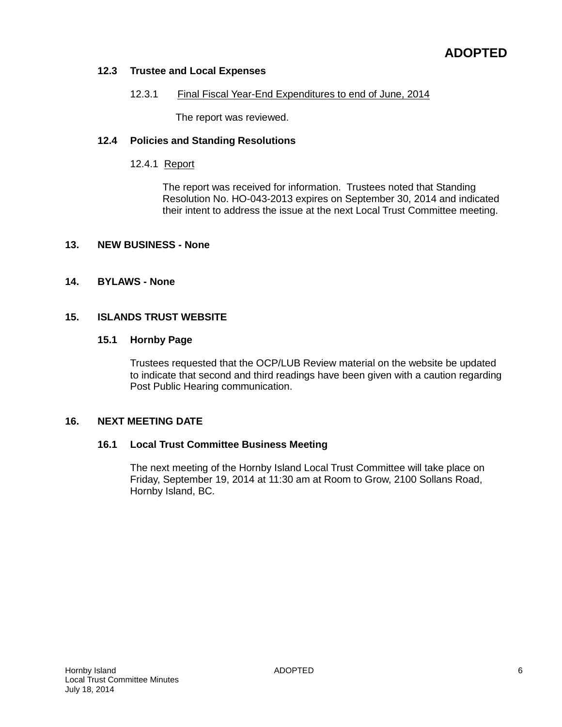## **12.3 Trustee and Local Expenses**

#### 12.3.1 Final Fiscal Year-End Expenditures to end of June, 2014

The report was reviewed.

#### **12.4 Policies and Standing Resolutions**

## 12.4.1 Report

The report was received for information. Trustees noted that Standing Resolution No. HO-043-2013 expires on September 30, 2014 and indicated their intent to address the issue at the next Local Trust Committee meeting.

#### **13. NEW BUSINESS - None**

#### **14. BYLAWS - None**

#### **15. ISLANDS TRUST WEBSITE**

#### **15.1 Hornby Page**

Trustees requested that the OCP/LUB Review material on the website be updated to indicate that second and third readings have been given with a caution regarding Post Public Hearing communication.

#### **16. NEXT MEETING DATE**

#### **16.1 Local Trust Committee Business Meeting**

The next meeting of the Hornby Island Local Trust Committee will take place on Friday, September 19, 2014 at 11:30 am at Room to Grow, 2100 Sollans Road, Hornby Island, BC.